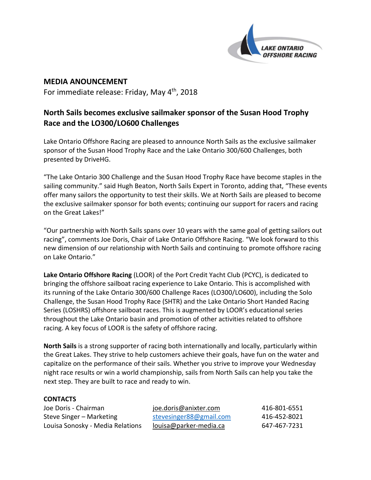

**MEDIA ANOUNCEMENT** For immediate release: Friday, May 4<sup>th</sup>, 2018

## **North Sails becomes exclusive sailmaker sponsor of the Susan Hood Trophy Race and the LO300/LO600 Challenges**

Lake Ontario Offshore Racing are pleased to announce North Sails as the exclusive sailmaker sponsor of the Susan Hood Trophy Race and the Lake Ontario 300/600 Challenges, both presented by DriveHG.

"The Lake Ontario 300 Challenge and the Susan Hood Trophy Race have become staples in the sailing community." said Hugh Beaton, North Sails Expert in Toronto, adding that, "These events offer many sailors the opportunity to test their skills. We at North Sails are pleased to become the exclusive sailmaker sponsor for both events; continuing our support for racers and racing on the Great Lakes!"

"Our partnership with North Sails spans over 10 years with the same goal of getting sailors out racing", comments Joe Doris, Chair of Lake Ontario Offshore Racing. "We look forward to this new dimension of our relationship with North Sails and continuing to promote offshore racing on Lake Ontario."

**Lake Ontario Offshore Racing** (LOOR) of the Port Credit Yacht Club (PCYC), is dedicated to bringing the offshore sailboat racing experience to Lake Ontario. This is accomplished with its running of the Lake Ontario 300/600 Challenge Races (LO300/LO600), including the Solo Challenge, the Susan Hood Trophy Race (SHTR) and the Lake Ontario Short Handed Racing Series (LOSHRS) offshore sailboat races. This is augmented by LOOR's educational series throughout the Lake Ontario basin and promotion of other activities related to offshore racing. A key focus of LOOR is the safety of offshore racing.

**North Sails** is a strong supporter of racing both internationally and locally, particularly within the Great Lakes. They strive to help customers achieve their goals, have fun on the water and capitalize on the performance of their sails. Whether you strive to improve your Wednesday night race results or win a world championship, sails from North Sails can help you take the next step. They are built to race and ready to win.

| <b>CONTACTS</b> |
|-----------------|
|-----------------|

| Joe Doris - Chairman             | joe.doris@anixter.com   | 416-801-6551 |
|----------------------------------|-------------------------|--------------|
| Steve Singer – Marketing         | stevesinger88@gmail.com | 416-452-8021 |
| Louisa Sonosky - Media Relations | louisa@parker-media.ca  | 647-467-7231 |